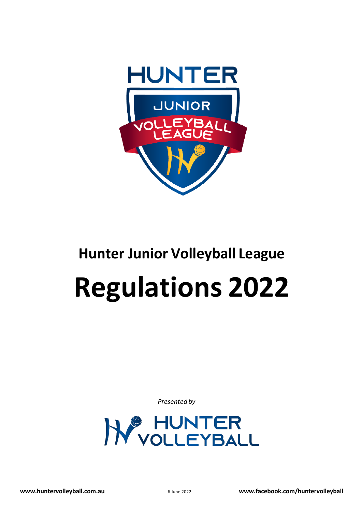

# **Hunter Junior Volleyball League Regulations 2022**

*Presented by*

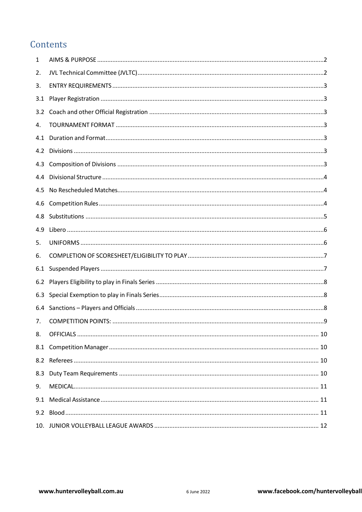# Contents

| 1   |  |
|-----|--|
| 2.  |  |
| 3.  |  |
| 3.1 |  |
| 3.2 |  |
| 4.  |  |
| 4.1 |  |
| 4.2 |  |
| 4.3 |  |
| 4.4 |  |
| 4.5 |  |
| 4.6 |  |
| 4.8 |  |
| 4.9 |  |
| 5.  |  |
| 6.  |  |
| 6.1 |  |
| 6.2 |  |
| 6.3 |  |
| 6.4 |  |
| 7.  |  |
| 8.  |  |
| 8.1 |  |
|     |  |
| 8.3 |  |
| 9.  |  |
| 9.1 |  |
|     |  |
|     |  |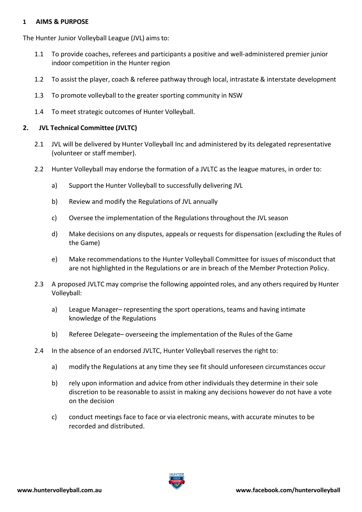#### <span id="page-2-0"></span>**1 AIMS & PURPOSE**

The Hunter Junior Volleyball League (JVL) aims to:

- 1.1 To provide coaches, referees and participants a positive and well-administered premier junior indoor competition in the Hunter region
- 1.2 To assist the player, coach & referee pathway through local, intrastate & interstate development
- 1.3 To promote volleyball to the greater sporting community in NSW
- 1.4 To meet strategic outcomes of Hunter Volleyball.

## <span id="page-2-1"></span>**2. JVL Technical Committee (JVLTC)**

- 2.1 JVL will be delivered by Hunter Volleyball Inc and administered by its delegated representative (volunteer or staff member).
- 2.2 Hunter Volleyball may endorse the formation of a JVLTC as the league matures, in order to:
	- a) Support the Hunter Volleyball to successfully delivering JVL
	- b) Review and modify the Regulations of JVL annually
	- c) Oversee the implementation of the Regulations throughout the JVL season
	- d) Make decisions on any disputes, appeals or requests for dispensation (excluding the Rules of the Game)
	- e) Make recommendations to the Hunter Volleyball Committee for issues of misconduct that are not highlighted in the Regulations or are in breach of the Member Protection Policy.
- 2.3 A proposed JVLTC may comprise the following appointed roles, and any others required by Hunter Volleyball:
	- a) League Manager– representing the sport operations, teams and having intimate knowledge of the Regulations
	- b) Referee Delegate– overseeing the implementation of the Rules of the Game
- 2.4 In the absence of an endorsed JVLTC, Hunter Volleyball reserves the right to:
	- a) modify the Regulations at any time they see fit should unforeseen circumstances occur
	- b) rely upon information and advice from other individuals they determine in their sole discretion to be reasonable to assist in making any decisions however do not have a vote on the decision
	- c) conduct meetings face to face or via electronic means, with accurate minutes to be recorded and distributed.

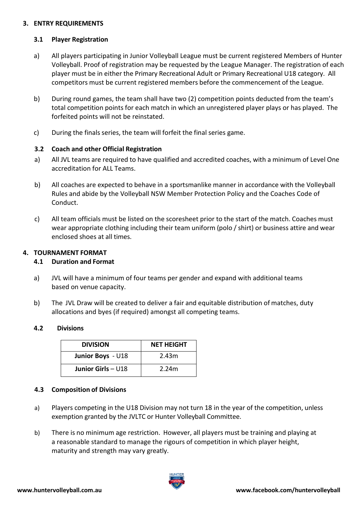## <span id="page-3-0"></span>**3. ENTRY REQUIREMENTS**

# <span id="page-3-1"></span>**3.1 Player Registration**

- a) All players participating in Junior Volleyball League must be current registered Members of Hunter Volleyball. Proof of registration may be requested by the League Manager. The registration of each player must be in either the Primary Recreational Adult or Primary Recreational U18 category. All competitors must be current registered members before the commencement of the League.
- b) During round games, the team shall have two (2) competition points deducted from the team's total competition points for each match in which an unregistered player plays or has played. The forfeited points will not be reinstated.
- c) During the finals series, the team will forfeit the final series game.

# <span id="page-3-2"></span>**3.2 Coach and other Official Registration**

- a) All JVL teams are required to have qualified and accredited coaches, with a minimum of Level One accreditation for ALL Teams.
- b) All coaches are expected to behave in a sportsmanlike manner in accordance with the Volleyball Rules and abide by the Volleyball NSW Member Protection Policy and the Coaches Code of Conduct.
- c) All team officials must be listed on the scoresheet prior to the start of the match. Coaches must wear appropriate clothing including their team uniform (polo / shirt) or business attire and wear enclosed shoes at all times.

# <span id="page-3-4"></span><span id="page-3-3"></span>**4. TOURNAMENT FORMAT**

# **4.1 Duration and Format**

- a) JVL will have a minimum of four teams per gender and expand with additional teams based on venue capacity.
- b) The JVL Draw will be created to deliver a fair and equitable distribution of matches, duty allocations and byes (if required) amongst all competing teams.

#### <span id="page-3-5"></span>**4.2 Divisions**

| <b>DIVISION</b>      | <b>NET HEIGHT</b> |
|----------------------|-------------------|
| Junior Boys - U18    | 2.43m             |
| Junior Girls $- U18$ | 2.24m             |

# <span id="page-3-6"></span>**4.3 Composition of Divisions**

- a) Players competing in the U18 Division may not turn 18 in the year of the competition, unless exemption granted by the JVLTC or Hunter Volleyball Committee.
- b) There is no minimum age restriction. However, all players must be training and playing at a reasonable standard to manage the rigours of competition in which player height, maturity and strength may vary greatly.

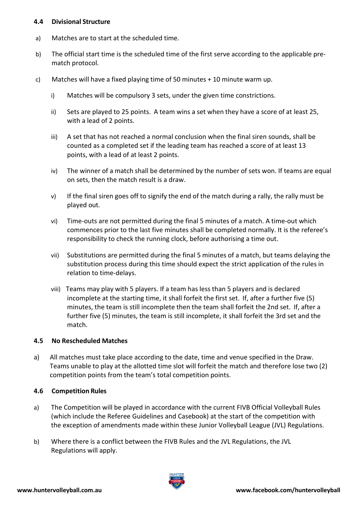#### <span id="page-4-0"></span>**4.4 Divisional Structure**

- a) Matches are to start at the scheduled time.
- b) The official start time is the scheduled time of the first serve according to the applicable prematch protocol.
- c) Matches will have a fixed playing time of 50 minutes + 10 minute warm up.
	- i) Matches will be compulsory 3 sets, under the given time constrictions.
	- ii) Sets are played to 25 points. A team wins a set when they have a score of at least 25, with a lead of 2 points.
	- iii) A set that has not reached a normal conclusion when the final siren sounds, shall be counted as a completed set if the leading team has reached a score of at least 13 points, with a lead of at least 2 points.
	- iv) The winner of a match shall be determined by the number of sets won. If teams are equal on sets, then the match result is a draw.
	- $v$ ) If the final siren goes off to signify the end of the match during a rally, the rally must be played out.
	- vi) Time-outs are not permitted during the final 5 minutes of a match. A time-out which commences prior to the last five minutes shall be completed normally. It is the referee's responsibility to check the running clock, before authorising a time out.
	- vii) Substitutions are permitted during the final 5 minutes of a match, but teams delaying the substitution process during this time should expect the strict application of the rules in relation to time-delays.
	- viii) Teams may play with 5 players. If a team has less than 5 players and is declared incomplete at the starting time, it shall forfeit the first set. If, after a further five (5) minutes, the team is still incomplete then the team shall forfeit the 2nd set. If, after a further five (5) minutes, the team is still incomplete, it shall forfeit the 3rd set and the match.

# <span id="page-4-1"></span>**4.5 No Rescheduled Matches**

a) All matches must take place according to the date, time and venue specified in the Draw. Teams unable to play at the allotted time slot will forfeit the match and therefore lose two (2) competition points from the team's total competition points.

# <span id="page-4-2"></span>**4.6 Competition Rules**

- a) The Competition will be played in accordance with the current FIVB Official Volleyball Rules (which include the Referee Guidelines and Casebook) at the start of the competition with the exception of amendments made within these Junior Volleyball League (JVL) Regulations.
- b) Where there is a conflict between the FIVB Rules and the JVL Regulations, the JVL Regulations will apply.

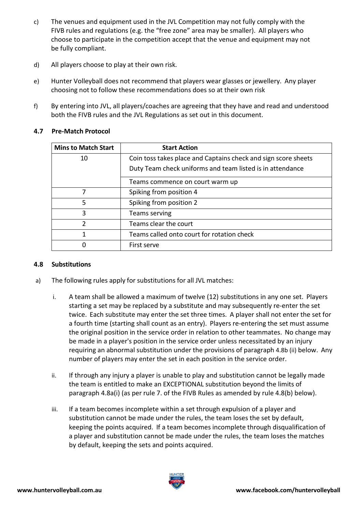- c) The venues and equipment used in the JVL Competition may not fully comply with the FIVB rules and regulations (e.g. the "free zone" area may be smaller). All players who choose to participate in the competition accept that the venue and equipment may not be fully compliant.
- d) All players choose to play at their own risk.
- e) Hunter Volleyball does not recommend that players wear glasses or jewellery. Any player choosing not to follow these recommendations does so at their own risk
- f) By entering into JVL, all players/coaches are agreeing that they have and read and understood both the FIVB rules and the JVL Regulations as set out in this document.

| <b>Mins to Match Start</b> | <b>Start Action</b>                                            |
|----------------------------|----------------------------------------------------------------|
| 10                         | Coin toss takes place and Captains check and sign score sheets |
|                            | Duty Team check uniforms and team listed is in attendance      |
|                            | Teams commence on court warm up                                |
| 7                          | Spiking from position 4                                        |
| 5                          | Spiking from position 2                                        |
| 3                          | Teams serving                                                  |
| 2                          | Teams clear the court                                          |
| 1                          | Teams called onto court for rotation check                     |
| 0                          | First serve                                                    |

# **4.7 Pre-Match Protocol**

# <span id="page-5-0"></span>**4.8 Substitutions**

- a) The following rules apply for substitutions for all JVL matches:
	- i. A team shall be allowed a maximum of twelve (12) substitutions in any one set. Players starting a set may be replaced by a substitute and may subsequently re-enter the set twice. Each substitute may enter the set three times. A player shall not enter the set for a fourth time (starting shall count as an entry). Players re-entering the set must assume the original position in the service order in relation to other teammates. No change may be made in a player's position in the service order unless necessitated by an injury requiring an abnormal substitution under the provisions of paragraph 4.8b (ii) below. Any number of players may enter the set in each position in the service order.
	- ii. If through any injury a player is unable to play and substitution cannot be legally made the team is entitled to make an EXCEPTIONAL substitution beyond the limits of paragraph 4.8a(i) (as per rule 7. of the FIVB Rules as amended by rule 4.8(b) below).
	- iii. If a team becomes incomplete within a set through expulsion of a player and substitution cannot be made under the rules, the team loses the set by default, keeping the points acquired. If a team becomes incomplete through disqualification of a player and substitution cannot be made under the rules, the team loses the matches by default, keeping the sets and points acquired.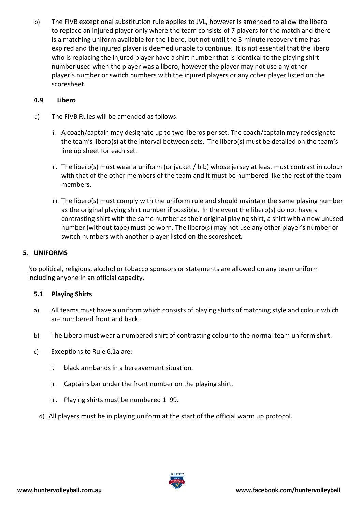b) The FIVB exceptional substitution rule applies to JVL, however is amended to allow the libero to replace an injured player only where the team consists of 7 players for the match and there is a matching uniform available for the libero, but not until the 3-minute recovery time has expired and the injured player is deemed unable to continue. It is not essential that the libero who is replacing the injured player have a shirt number that is identical to the playing shirt number used when the player was a libero, however the player may not use any other player's number or switch numbers with the injured players or any other player listed on the scoresheet.

# <span id="page-6-0"></span>**4.9 Libero**

- a) The FIVB Rules will be amended as follows:
	- i. A coach/captain may designate up to two liberos per set. The coach/captain may redesignate the team's libero(s) at the interval between sets. The libero(s) must be detailed on the team's line up sheet for each set.
	- ii. The libero(s) must wear a uniform (or jacket / bib) whose jersey at least must contrast in colour with that of the other members of the team and it must be numbered like the rest of the team members.
	- iii. The libero(s) must comply with the uniform rule and should maintain the same playing number as the original playing shirt number if possible. In the event the libero(s) do not have a contrasting shirt with the same number as their original playing shirt, a shirt with a new unused number (without tape) must be worn. The libero(s) may not use any other player's number or switch numbers with another player listed on the scoresheet.

# <span id="page-6-1"></span>**5. UNIFORMS**

No political, religious, alcohol or tobacco sponsors or statements are allowed on any team uniform including anyone in an official capacity.

# **5.1 Playing Shirts**

- a) All teams must have a uniform which consists of playing shirts of matching style and colour which are numbered front and back.
- b) The Libero must wear a numbered shirt of contrasting colour to the normal team uniform shirt.
- c) Exceptions to Rule 6.1a are:
	- i. black armbands in a bereavement situation.
	- ii. Captains bar under the front number on the playing shirt.
	- iii. Playing shirts must be numbered 1–99.
	- d) All players must be in playing uniform at the start of the official warm up protocol.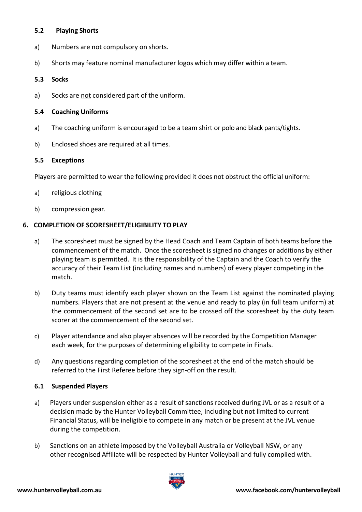#### **5.2 Playing Shorts**

- a) Numbers are not compulsory on shorts.
- b) Shorts may feature nominal manufacturer logos which may differ within a team.

#### **5.3 Socks**

a) Socks are not considered part of the uniform.

# **5.4 Coaching Uniforms**

- a) The coaching uniform is encouraged to be a team shirt or polo and black pants/tights.
- b) Enclosed shoes are required at all times.

# **5.5 Exceptions**

Players are permitted to wear the following provided it does not obstruct the official uniform:

- a) religious clothing
- b) compression gear.

# <span id="page-7-0"></span>**6. COMPLETION OF SCORESHEET/ELIGIBILITY TO PLAY**

- a) The scoresheet must be signed by the Head Coach and Team Captain of both teams before the commencement of the match. Once the scoresheet is signed no changes or additions by either playing team is permitted. It is the responsibility of the Captain and the Coach to verify the accuracy of their Team List (including names and numbers) of every player competing in the match.
- b) Duty teams must identify each player shown on the Team List against the nominated playing numbers. Players that are not present at the venue and ready to play (in full team uniform) at the commencement of the second set are to be crossed off the scoresheet by the duty team scorer at the commencement of the second set.
- c) Player attendance and also player absences will be recorded by the Competition Manager each week, for the purposes of determining eligibility to compete in Finals.
- d) Any questions regarding completion of the scoresheet at the end of the match should be referred to the First Referee before they sign-off on the result.

#### <span id="page-7-1"></span>**6.1 Suspended Players**

- a) Players under suspension either as a result of sanctions received during JVL or as a result of a decision made by the Hunter Volleyball Committee, including but not limited to current Financial Status, will be ineligible to compete in any match or be present at the JVL venue during the competition.
- b) Sanctions on an athlete imposed by the Volleyball Australia or Volleyball NSW, or any other recognised Affiliate will be respected by Hunter Volleyball and fully complied with.

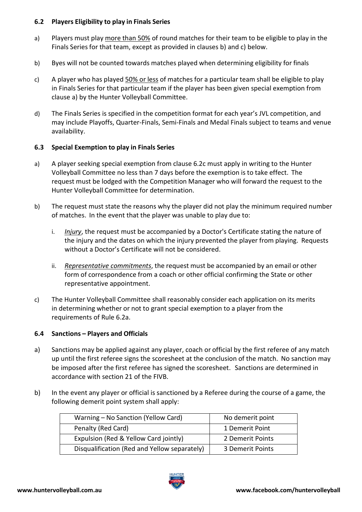# <span id="page-8-0"></span>**6.2 Players Eligibility to play in Finals Series**

- a) Players must play more than 50% of round matches for their team to be eligible to play in the Finals Series for that team, except as provided in clauses b) and c) below.
- b) Byes will not be counted towards matches played when determining eligibility for finals
- c) A player who has played 50% or less of matches for a particular team shall be eligible to play in Finals Series for that particular team if the player has been given special exemption from clause a) by the Hunter Volleyball Committee.
- d) The Finals Series is specified in the competition format for each year's JVL competition, and may include Playoffs, Quarter-Finals, Semi-Finals and Medal Finals subject to teams and venue availability.

# <span id="page-8-1"></span>**6.3 Special Exemption to play in Finals Series**

- a) A player seeking special exemption from clause 6.2c must apply in writing to the Hunter Volleyball Committee no less than 7 days before the exemption is to take effect. The request must be lodged with the Competition Manager who will forward the request to the Hunter Volleyball Committee for determination.
- b) The request must state the reasons why the player did not play the minimum required number of matches. In the event that the player was unable to play due to:
	- i. *Injury*, the request must be accompanied by a Doctor's Certificate stating the nature of the injury and the dates on which the injury prevented the player from playing. Requests without a Doctor's Certificate will not be considered.
	- ii. *Representative commitments*, the request must be accompanied by an email or other form of correspondence from a coach or other official confirming the State or other representative appointment.
- c) The Hunter Volleyball Committee shall reasonably consider each application on its merits in determining whether or not to grant special exemption to a player from the requirements of Rule 6.2a.

#### <span id="page-8-2"></span>**6.4 Sanctions – Players and Officials**

- a) Sanctions may be applied against any player, coach or official by the first referee of any match up until the first referee signs the scoresheet at the conclusion of the match. No sanction may be imposed after the first referee has signed the scoresheet. Sanctions are determined in accordance with section 21 of the FIVB.
- b) In the event any player or official is sanctioned by a Referee during the course of a game, the following demerit point system shall apply:

| Warning - No Sanction (Yellow Card)          | No demerit point |
|----------------------------------------------|------------------|
| Penalty (Red Card)                           | 1 Demerit Point  |
| Expulsion (Red & Yellow Card jointly)        | 2 Demerit Points |
| Disqualification (Red and Yellow separately) | 3 Demerit Points |

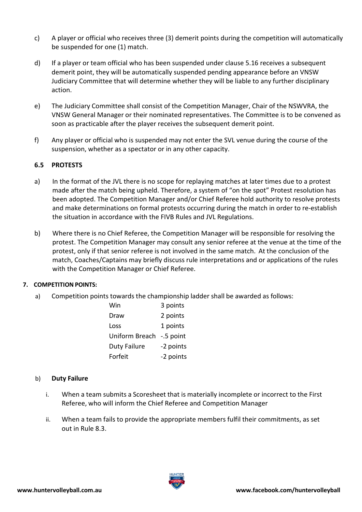- c) A player or official who receives three (3) demerit points during the competition will automatically be suspended for one (1) match.
- d) If a player or team official who has been suspended under clause 5.16 receives a subsequent demerit point, they will be automatically suspended pending appearance before an VNSW Judiciary Committee that will determine whether they will be liable to any further disciplinary action.
- e) The Judiciary Committee shall consist of the Competition Manager, Chair of the NSWVRA, the VNSW General Manager or their nominated representatives. The Committee is to be convened as soon as practicable after the player receives the subsequent demerit point.
- f) Any player or official who is suspended may not enter the SVL venue during the course of the suspension, whether as a spectator or in any other capacity.

# **6.5 PROTESTS**

- a) In the format of the JVL there is no scope for replaying matches at later times due to a protest made after the match being upheld. Therefore, a system of "on the spot" Protest resolution has been adopted. The Competition Manager and/or Chief Referee hold authority to resolve protests and make determinations on formal protests occurring during the match in order to re-establish the situation in accordance with the FIVB Rules and JVL Regulations.
- b) Where there is no Chief Referee, the Competition Manager will be responsible for resolving the protest. The Competition Manager may consult any senior referee at the venue at the time of the protest, only if that senior referee is not involved in the same match. At the conclusion of the match, Coaches/Captains may briefly discuss rule interpretations and or applications of the rules with the Competition Manager or Chief Referee.

#### <span id="page-9-0"></span>**7. COMPETITION POINTS:**

a) Competition points towards the championship ladder shall be awarded as follows:

| Win                      | 3 points  |
|--------------------------|-----------|
| Draw                     | 2 points  |
| Loss                     | 1 points  |
| Uniform Breach -.5 point |           |
| <b>Duty Failure</b>      | -2 points |
| Forfeit                  | -2 points |

#### b) **Duty Failure**

- i. When a team submits a Scoresheet that is materially incomplete or incorrect to the First Referee, who will inform the Chief Referee and Competition Manager
- ii. When a team fails to provide the appropriate members fulfil their commitments, as set out in Rule 8.3.

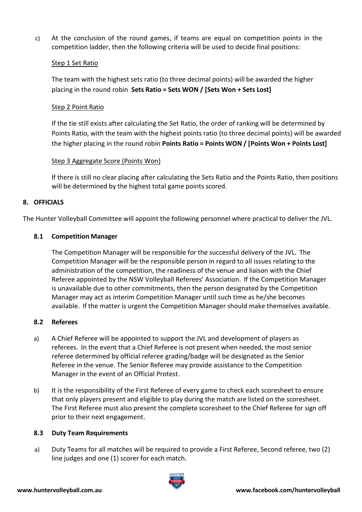c) At the conclusion of the round games, if teams are equal on competition points in the competition ladder, then the following criteria will be used to decide final positions:

#### Step 1 Set Ratio

The team with the highest sets ratio (to three decimal points) will be awarded the higher placing in the round robin **Sets Ratio = Sets WON / [Sets Won + Sets Lost]**

# Step 2 Point Ratio

If the tie still exists after calculating the Set Ratio, the order of ranking will be determined by Points Ratio, with the team with the highest points ratio (to three decimal points) will be awarded the higher placing in the round robin **Points Ratio = Points WON / [Points Won + Points Lost]**

# Step 3 Aggregate Score (Points Won)

If there is still no clear placing after calculating the Sets Ratio and the Points Ratio, then positions will be determined by the highest total game points scored.

# <span id="page-10-0"></span>**8. OFFICIALS**

The Hunter Volleyball Committee will appoint the following personnel where practical to deliver the JVL.

# <span id="page-10-1"></span>**8.1 Competition Manager**

The Competition Manager will be responsible for the successful delivery of the JVL. The Competition Manager will be the responsible person in regard to all issues relating to the administration of the competition, the readiness of the venue and liaison with the Chief Referee appointed by the NSW Volleyball Referees' Association. If the Competition Manager is unavailable due to other commitments, then the person designated by the Competition Manager may act as interim Competition Manager until such time as he/she becomes available. If the matter is urgent the Competition Manager should make themselves available.

#### <span id="page-10-2"></span>**8.2 Referees**

- a) A Chief Referee will be appointed to support the JVL and development of players as referees. In the event that a Chief Referee is not present when needed, the most senior referee determined by official referee grading/badge will be designated as the Senior Referee in the venue. The Senior Referee may provide assistance to the Competition Manager in the event of an Official Protest.
- b) It is the responsibility of the First Referee of every game to check each scoresheet to ensure that only players present and eligible to play during the match are listed on the scoresheet. The First Referee must also present the complete scoresheet to the Chief Referee for sign off prior to their next engagement.

#### <span id="page-10-3"></span>**8.3 Duty Team Requirements**

a) Duty Teams for all matches will be required to provide a First Referee, Second referee, two (2) line judges and one (1) scorer for each match.

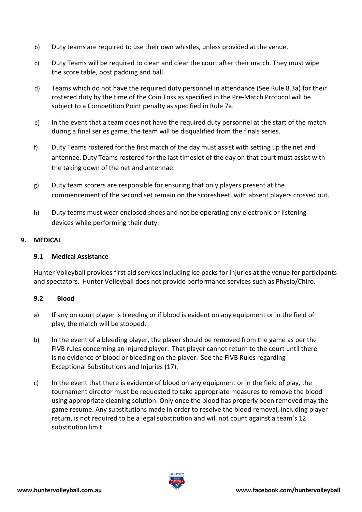- b) Duty teams are required to use their own whistles, unless provided at the venue.
- c) Duty Teams will be required to clean and clear the court after their match. They must wipe the score table, post padding and ball.
- d) Teams which do not have the required duty personnel in attendance (See Rule 8.3a) for their rostered duty by the time of the Coin Toss as specified in the Pre-Match Protocol will be subject to a Competition Point penalty as specified in Rule 7a.
- e) In the event that a team does not have the required duty personnel at the start of the match during a final series game, the team will be disqualified from the finals series.
- f) Duty Teams rostered for the first match of the day must assist with setting up the net and antennae. Duty Teams rostered for the last timeslot of the day on that court must assist with the taking down of the net and antennae.
- g) Duty team scorers are responsible for ensuring that only players present at the commencement of the second set remain on the scoresheet, with absent players crossed out.
- h) Duty teams must wear enclosed shoes and not be operating any electronic or listening devices while performing their duty.

# <span id="page-11-1"></span><span id="page-11-0"></span>**9. MEDICAL**

# **9.1 Medical Assistance**

Hunter Volleyball provides first aid services including ice packs for injuries at the venue for participants and spectators. Hunter Volleyball does not provide performance services such as Physio/Chiro.

#### <span id="page-11-2"></span>**9.2 Blood**

- a) If any on court player is bleeding or if blood is evident on any equipment or in the field of play, the match will be stopped.
- b) In the event of a bleeding player, the player should be removed from the game as per the FIVB rules concerning an injured player. That player cannot return to the court until there is no evidence of blood or bleeding on the player. See the FIVB Rules regarding Exceptional Substitutions and Injuries (17).
- c) In the event that there is evidence of blood on any equipment or in the field of play, the tournament director must be requested to take appropriate measures to remove the blood using appropriate cleaning solution. Only once the blood has properly been removed may the game resume. Any substitutions made in order to resolve the blood removal, including player return, is not required to be a legal substitution and will not count against a team's 12 substitution limit